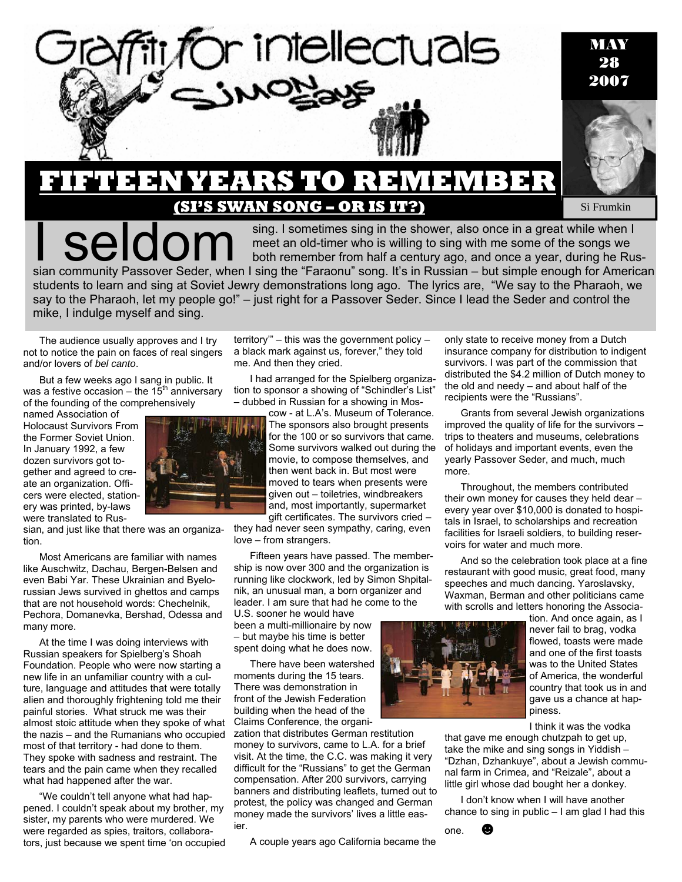

**By SI FRUMKIN** Si Frumkin

Seldom sing. I sometimes sing in the shower, also once in a great while when I<br>both remember from half a century ago, and once a year, during be Ru meet an old-timer who is willing to sing with me some of the songs we both remember from half a century ago, and once a year, during he Russian community Passover Seder, when I sing the "Faraonu" song. It's in Russian – but simple enough for American students to learn and sing at Soviet Jewry demonstrations long ago. The lyrics are, "We say to the Pharaoh, we say to the Pharaoh, let my people go!" – just right for a Passover Seder. Since I lead the Seder and control the mike, I indulge myself and sing.

The audience usually approves and I try not to notice the pain on faces of real singers and/or lovers of *bel canto*.

But a few weeks ago I sang in public. It was a festive occasion – the  $15<sup>th</sup>$  anniversary of the founding of the comprehensively

named Association of Holocaust Survivors From the Former Soviet Union. In January 1992, a few dozen survivors got together and agreed to create an organization. Officers were elected, stationery was printed, by-laws were translated to Rus-

sian, and just like that there was an organization.

Most Americans are familiar with names like Auschwitz, Dachau, Bergen-Belsen and even Babi Yar. These Ukrainian and Byelorussian Jews survived in ghettos and camps that are not household words: Chechelnik, Pechora, Domanevka, Bershad, Odessa and many more.

At the time I was doing interviews with Russian speakers for Spielberg's Shoah Foundation. People who were now starting a new life in an unfamiliar country with a culture, language and attitudes that were totally alien and thoroughly frightening told me their painful stories. What struck me was their almost stoic attitude when they spoke of what the nazis – and the Rumanians who occupied most of that territory - had done to them. They spoke with sadness and restraint. The tears and the pain came when they recalled what had happened after the war.

"We couldn't tell anyone what had happened. I couldn't speak about my brother, my sister, my parents who were murdered. We were regarded as spies, traitors, collaborators, just because we spent time 'on occupied

territory'" – this was the government policy – a black mark against us, forever," they told me. And then they cried.

I had arranged for the Spielberg organization to sponsor a showing of "Schindler's List" – dubbed in Russian for a showing in Mos-

> cow - at L.A's. Museum of Tolerance. The sponsors also brought presents for the 100 or so survivors that came. Some survivors walked out during the movie, to compose themselves, and then went back in. But most were moved to tears when presents were given out – toiletries, windbreakers and, most importantly, supermarket gift certificates. The survivors cried –

they had never seen sympathy, caring, even love – from strangers.

Fifteen years have passed. The membership is now over 300 and the organization is running like clockwork, led by Simon Shpitalnik, an unusual man, a born organizer and leader. I am sure that had he come to the

U.S. sooner he would have been a multi-millionaire by now – but maybe his time is better spent doing what he does now.

There have been watershed moments during the 15 tears. There was demonstration in front of the Jewish Federation building when the head of the Claims Conference, the organi-

zation that distributes German restitution money to survivors, came to L.A. for a brief visit. At the time, the C.C. was making it very difficult for the "Russians" to get the German compensation. After 200 survivors, carrying banners and distributing leaflets, turned out to protest, the policy was changed and German money made the survivors' lives a little easier.

A couple years ago California became the

their own money for causes they held dear – every year over \$10,000 is donated to hospitals in Israel, to scholarships and recreation facilities for Israeli soldiers, to building reservoirs for water and much more. And so the celebration took place at a fine restaurant with good music, great food, many speeches and much dancing. Yaroslavsky,

recipients were the "Russians".

Waxman, Berman and other politicians came with scrolls and letters honoring the Associa-

only state to receive money from a Dutch insurance company for distribution to indigent survivors. I was part of the commission that distributed the \$4.2 million of Dutch money to the old and needy – and about half of the

Grants from several Jewish organizations improved the quality of life for the survivors – trips to theaters and museums, celebrations of holidays and important events, even the yearly Passover Seder, and much, much

Throughout, the members contributed



more.

tion. And once again, as I never fail to brag, vodka flowed, toasts were made and one of the first toasts was to the United States of America, the wonderful country that took us in and gave us a chance at happiness.

I think it was the vodka

that gave me enough chutzpah to get up, take the mike and sing songs in Yiddish – "Dzhan, Dzhankuye", about a Jewish communal farm in Crimea, and "Reizale", about a little girl whose dad bought her a donkey.

I don't know when I will have another chance to sing in public  $-1$  am glad I had this

one. ☻

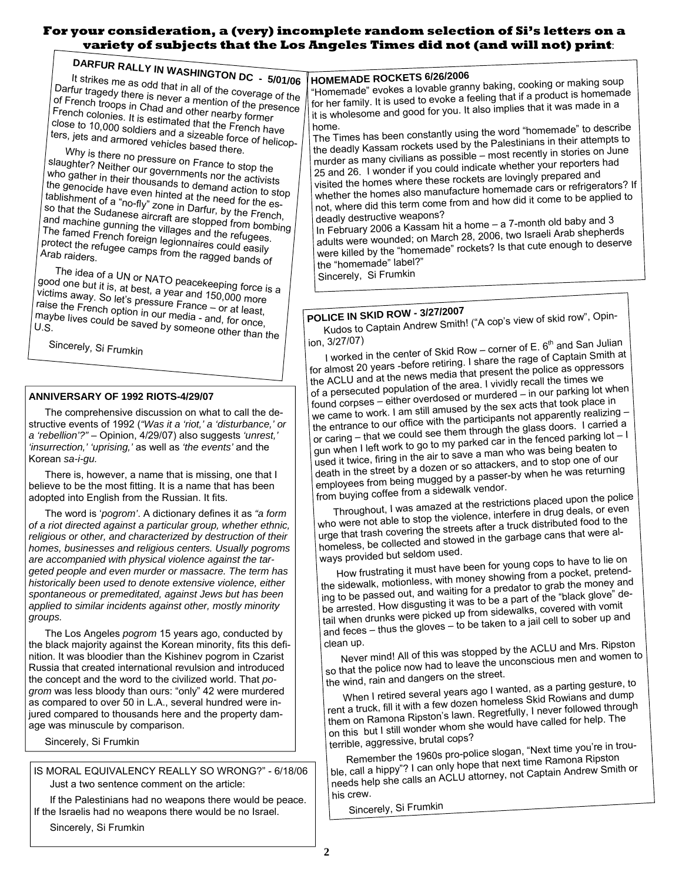### **For your consideration, a (very) incomplete random selection of Si's letters on a variety of subjects that the Los Angeles Times did not (and will not) print**:

**DARFUR RALLY IN WASHINGTON DC - 5/01/06** It strikes me as odd that in all of the coverage of the Darfur tragedy there is never a mention of the presence of French troops in Chad and other nearby former French colonies. It is estimated that the French have close to 10,000; it is estimated that the French have<br>ters, jets and armored vehicles based these of helicopters , j e <sub>b</sub>, jets and armored vehicles based there.<br>Why is there ne

y is there no pressure on France to stop the slaughter? Neither our governments nor the activists who gather in their thousands to demand action to stop the genocide have even hinted at the need for the establishment of <sup>a</sup> "no-fly" zone in Darfur, by the French, so that the Sudanese aircraft are stopped from bombing and machine gunning the villages and the refugees. The famed French foreign legionnaires could easily protect the refugee camps from the ragged bands of<br>Arab raiders.

The idea of a UN or NATO peacekeeping force is a good one but it is, at best, <sup>a</sup> year and 150,000 more victims away. So let's pressure France – or at least,<br>raise the French option in our media – or at least, raise the French option in our media - and, for once,<br>maybe lives could be saved by some and, for once, maybe lives could be saved by someone other than the<br>U.S.

Sincerely, Si Frumkin

### **ANNIVERSARY OF 1992 RIOTS-4/29/07**

The comprehensive discussion on what to call the destructive events of 1992 (*"Was it a 'riot,' a 'disturbance,' or a 'rebellion'?"* – Opinion, 4/29/07) also suggests *'unrest,' 'insurrection,' 'uprising,'* as well as *'the events'* and the Korean *sa-i-gu.*

There is, however, a name that is missing, one that I believe to be the most fitting. It is a name that has been adopted into English from the Russian. It fits.

The word is '*pogrom'*. A dictionary defines it as *"a form of a riot directed against a particular group, whether ethnic, religious or other, and characterized by destruction of their homes, businesses and religious centers. Usually pogroms are accompanied with physical violence against the targeted people and even murder or massacre. The term has historically been used to denote extensive violence, either spontaneous or premeditated, against Jews but has been applied to similar incidents against other, mostly minority groups.* 

The Los Angeles *pogrom* 15 years ago, conducted by the black majority against the Korean minority, fits this definition. It was bloodier than the Kishinev pogrom in Czarist Russia that created international revulsion and introduced the concept and the word to the civilized world. That *pogrom* was less bloody than ours: "only" 42 were murdered as compared to over 50 in L.A., several hundred were injured compared to thousands here and the property damage was minuscule by comparison.

Sincerely, Si Frumkin

IS MORAL EQUIVALENCY REALLY SO WRONG?" - 6/18/06 Just a two sentence comment on the article:

If the Palestinians had no weapons there would be peace. If the Israelis had no weapons there would be no Israel.

Sincerely, Si Frumkin

### **HOMEMADE ROCKETS 6/26/2006**

"Homemade" evokes <sup>a</sup> lovable granny baking, cooking or making soup for her family. It is used to evoke a feeling that if <sup>a</sup> product is homemade it is wholesome and goo<sup>d</sup> for you. It also implies that it was made in <sup>a</sup>

home. The Times has been constantly using the word "homemade" to describe the deadly Kassam rockets used by the Palestinians in their attempts to murder as many civilians as possible – most recently in stories on June <sup>25</sup> and 26. <sup>I</sup> wonder if you could indicate whether your reporters had visited the homes where these rockets are lovingly prepare<sup>d</sup> and whether the homes also manufacture homemade cars or refrigerators? If not, where did this term come from and how did it come to be applied to deadly destructive weapons?

In February <sup>2006</sup> <sup>a</sup> Kassam hit <sup>a</sup> home – <sup>a</sup> 7-month old baby and <sup>3</sup> adults were wounded; on March 28, 2006, two Israeli Arab shepherds were killed by the "homemade" rockets? Is that cute enoug<sup>h</sup> to deserve the "homemade" label?"

Sincerely, Si Frumkin

## **POLICE IN SKID ROW - 3/27/2007**

Kudos to Captain Andrew Smith! ("A cop's view of skid row", Opinion, 3/27/07)

I worked in the center of Skid Row – corner of E.  $6<sup>th</sup>$  and San Julian for almost <sup>20</sup> years -before retiring. <sup>I</sup> share the rage of Captain Smith at the ACLU and at the news media that presen<sup>t</sup> the police as oppressors of <sup>a</sup> persecuted population of the area. <sup>I</sup> vividly recall the times we found corpses – either overdosed or murdered – in our parking lot when we came to work. <sup>I</sup> am still amused by the sex acts that took place in the entrance to our office with the participants not apparently realizing – or caring – that we could see them through the <sup>g</sup>lass doors. <sup>I</sup> carried <sup>a</sup> gun when <sup>I</sup> left work to go to my parked car in the fenced parking lot – <sup>I</sup> used it twice, firing in the air to save <sup>a</sup> man who was being beaten to death in the street by <sup>a</sup> dozen or so attackers, and to stop one of our employees from being mugge<sup>d</sup> by <sup>a</sup> passer-by when he was returning from buying coffee from <sup>a</sup> sidewalk vendor.

Throughout, <sup>I</sup> was amazed at the restrictions place<sup>d</sup> upon the police who were not able to stop the violence, interfere in drug deals, or even urge that trash covering the streets after <sup>a</sup> truck distributed food to the homeless, be collected and stowed in the garbage cans that were always provided but seldom used.

How frustrating it must have been for young cops to have to lie on the sidewalk, motionless, with money showing from <sup>a</sup> pocket, pretending to be passe<sup>d</sup> out, and waiting for <sup>a</sup> predator to gra<sup>b</sup> the money and be arrested. How disgusting it was to be <sup>a</sup> part of the "black <sup>g</sup>love" detail when drunks were picked up from sidewalks, covered with vomit and feces – thus the <sup>g</sup>loves – to be taken to <sup>a</sup> jail cell to sober up and

clean up. Never mind! All of this was stoppe<sup>d</sup> by the ACLU and Mrs. Ripston so that the police now had to leave the unconscious men and women to the wind, rain and dangers on the street.

When <sup>I</sup> retired several years ago <sup>I</sup> wanted, as <sup>a</sup> parting gesture, to rent <sup>a</sup> truck, fill it with <sup>a</sup> few dozen homeless Skid Rowians and dump them on Ramona Ripston's lawn. Regretfully, <sup>I</sup> never followed through on this but <sup>I</sup> still wonder whom she would have called for help. The terrible, aggressive, brutal cops?

Remember the 1960s pro-police slogan, "Next time you're in trouble, call <sup>a</sup> hippy"? <sup>I</sup> can only hope that next time Ramona Ripston needs help she calls an ACLU attorney, not Captain Andrew Smith or his crew.

Sincerely, Si Frumkin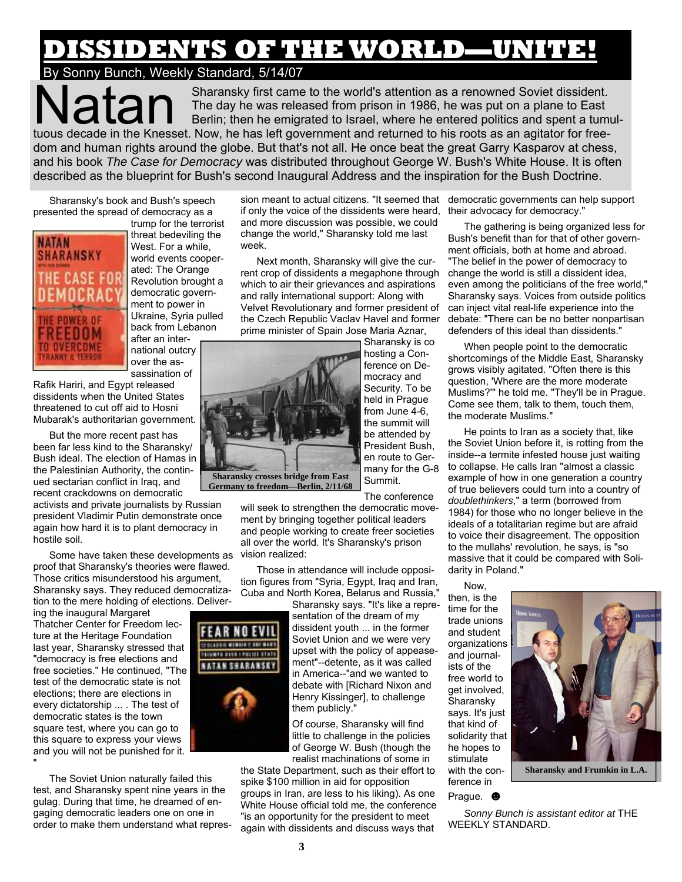## DENTS OF THE WORLD—UNITE!

## By Sonny Bunch, Weekly Standard, 5/14/07

Sharansky first came to the world's attention as a renowned Soviet dissident. The day he was released from prison in 1986, he was put on a plane to East Berlin; then he emigrated to Israel, where he entered politics and spent a tumultuous decade in the Knesset. Now, he has left government and returned to his roots as an agitator for freedom and human rights around the globe. But that's not all. He once beat the great Garry Kasparov at chess, and his book *The Case for Democracy* was distributed throughout George W. Bush's White House. It is often described as the blueprint for Bush's second Inaugural Address and the inspiration for the Bush Doctrine.

Sharansky's book and Bush's speech presented the spread of democracy as a



trump for the terrorist threat bedeviling the West. For a while, world events cooperated: The Orange Revolution brought a democratic government to power in Ukraine, Syria pulled back from Lebanon

after an international outcry over the assassination of

Rafik Hariri, and Egypt released dissidents when the United States threatened to cut off aid to Hosni Mubarak's authoritarian government.

But the more recent past has been far less kind to the Sharansky/ Bush ideal. The election of Hamas in the Palestinian Authority, the continued sectarian conflict in Iraq, and recent crackdowns on democratic

activists and private journalists by Russian president Vladimir Putin demonstrate once again how hard it is to plant democracy in hostile soil.

Some have taken these developments as vision realized: proof that Sharansky's theories were flawed. Those critics misunderstood his argument, Sharansky says. They reduced democratization to the mere holding of elections. Deliver-

ing the inaugural Margaret Thatcher Center for Freedom lecture at the Heritage Foundation last year, Sharansky stressed that "democracy is free elections and free societies." He continued, "The test of the democratic state is not elections; there are elections in every dictatorship ... . The test of democratic states is the town square test, where you can go to this square to express your views and you will not be punished for it. "

The Soviet Union naturally failed this test, and Sharansky spent nine years in the gulag. During that time, he dreamed of engaging democratic leaders one on one in order to make them understand what repres-

sion meant to actual citizens. "It seemed that democratic governments can help support if only the voice of the dissidents were heard, their advocacy for democracy." and more discussion was possible, we could change the world," Sharansky told me last week.

Next month, Sharansky will give the current crop of dissidents a megaphone through which to air their grievances and aspirations and rally international support: Along with Velvet Revolutionary and former president of the Czech Republic Vaclav Havel and former prime minister of Spain Jose Maria Aznar,



**FEAR NO EVIL** 1200001010112101000 **BURGHAM BURGHAM NATAR SHARANSKY** 

hosting a Conference on Democracy and Security. To be held in Prague from June 4-6, the summit will be attended by President Bush,

Summit. The conference

will seek to strengthen the democratic movement by bringing together political leaders and people working to create freer societies all over the world. It's Sharansky's prison

Those in attendance will include opposition figures from "Syria, Egypt, Iraq and Iran, Cuba and North Korea, Belarus and Russia,"

Sharansky says. "It's like a repre-

sentation of the dream of my dissident youth ... in the former Soviet Union and we were very upset with the policy of appeasement"--detente, as it was called in America--"and we wanted to debate with [Richard Nixon and Henry Kissinger], to challenge them publicly."

Of course, Sharansky will find little to challenge in the policies of George W. Bush (though the realist machinations of some in

the State Department, such as their effort to spike \$100 million in aid for opposition groups in Iran, are less to his liking). As one White House official told me, the conference "is an opportunity for the president to meet again with dissidents and discuss ways that

The gathering is being organized less for Bush's benefit than for that of other government officials, both at home and abroad. "The belief in the power of democracy to change the world is still a dissident idea, even among the politicians of the free world," Sharansky says. Voices from outside politics can inject vital real-life experience into the debate: "There can be no better nonpartisan defenders of this ideal than dissidents."

When people point to the democratic shortcomings of the Middle East, Sharansky grows visibly agitated. "Often there is this question, 'Where are the more moderate Muslims?'" he told me. "They'll be in Prague. Come see them, talk to them, touch them, the moderate Muslims."

He points to Iran as a society that, like the Soviet Union before it, is rotting from the inside--a termite infested house just waiting to collapse. He calls Iran "almost a classic example of how in one generation a country of true believers could turn into a country of *doublethinkers*," a term (borrowed from 1984) for those who no longer believe in the ideals of a totalitarian regime but are afraid to voice their disagreement. The opposition to the mullahs' revolution, he says, is "so massive that it could be compared with Solidarity in Poland."

Now, then, is the time for the trade unions and student organizations and journalists of the free world to get involved, Sharansky says. It's just that kind of solidarity that he hopes to stimulate with the conference in



**Sharansky and Frumkin in L.A.** 

#### Prague. ☻

*Sonny Bunch is assistant editor at* THE WEEKLY STANDARD.